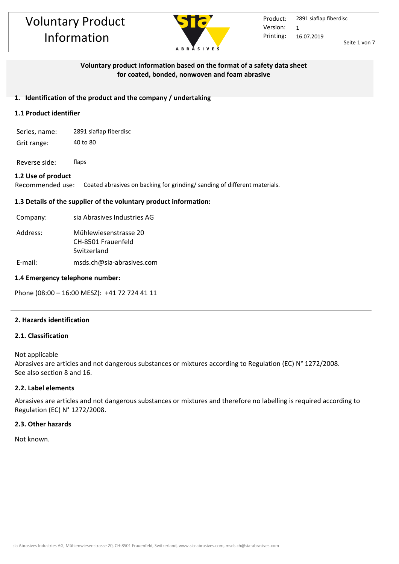

# **Voluntary product information based on the format of a safety data sheet for coated, bonded, nonwoven and foam abrasive**

# **1. Identification of the product and the company / undertaking**

# **1.1 Product identifier**

- Series, name: 2891 siaflap fiberdisc
- Grit range: 40 to 80

Reverse side: flaps

# **1.2 Use of product**

Recommended use: Coated abrasives on backing for grinding/ sanding of different materials.

# **1.3 Details of the supplier of the voluntary product information:**

| Company: | sia Abrasives Industries AG                                |
|----------|------------------------------------------------------------|
| Address: | Mühlewiesenstrasse 20<br>CH-8501 Frauenfeld<br>Switzerland |
| E-mail:  | msds.ch@sia-abrasives.com                                  |

#### **1.4 Emergency telephone number:**

Phone (08:00 – 16:00 MESZ): +41 72 724 41 11

# **2. Hazards identification**

# **2.1. Classification**

Not applicable Abrasives are articles and not dangerous substances or mixtures according to Regulation (EC) N° 1272/2008. See also section 8 and 16.

# **2.2. Label elements**

Abrasives are articles and not dangerous substances or mixtures and therefore no labelling is required according to Regulation (EC) N° 1272/2008.

## **2.3. Other hazards**

Not known.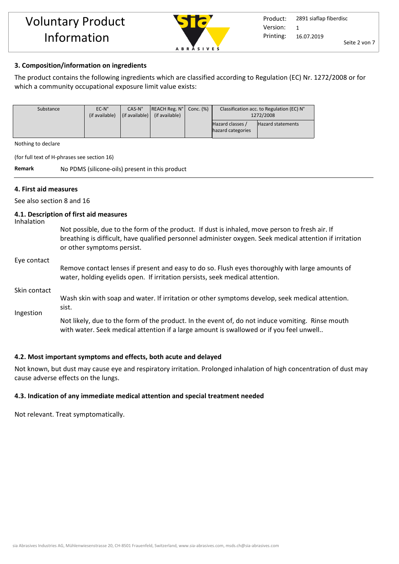

# **3. Composition/information on ingredients**

The product contains the following ingredients which are classified according to Regulation (EC) Nr. 1272/2008 or for which a community occupational exposure limit value exists:

| Substance | $EC-N^{\circ}$ | $CAS-N^{\circ}$                | $\vert$ REACH Reg. $N^{\circ}$ | Conc. (%) | Classification acc. to Regulation (EC) N° |                   |
|-----------|----------------|--------------------------------|--------------------------------|-----------|-------------------------------------------|-------------------|
|           | (if available) | $\vert$ (if available) $\vert$ | (if available)                 |           | 1272/2008                                 |                   |
|           |                |                                |                                |           | Hazard classes /                          | Hazard statements |
|           |                |                                |                                |           | hazard categories                         |                   |
|           |                |                                |                                |           |                                           |                   |

Nothing to declare

(for full text of H-phrases see section 16)

**Remark** No PDMS (silicone-oils) present in this product

#### **4. First aid measures**

See also section 8 and 16

#### **4.1. Description of first aid measures**

Inhalation

Not possible, due to the form of the product. If dust is inhaled, move person to fresh air. If breathing is difficult, have qualified personnel administer oxygen. Seek medical attention if irritation or other symptoms persist.

#### Eye contact

Remove contact lenses if present and easy to do so. Flush eyes thoroughly with large amounts of water, holding eyelids open. If irritation persists, seek medical attention.

#### Skin contact

Ingestion Wash skin with soap and water. If irritation or other symptoms develop, seek medical attention. sist.

> Not likely, due to the form of the product. In the event of, do not induce vomiting. Rinse mouth with water. Seek medical attention if a large amount is swallowed or if you feel unwell..

# **4.2. Most important symptoms and effects, both acute and delayed**

Not known, but dust may cause eye and respiratory irritation. Prolonged inhalation of high concentration of dust may cause adverse effects on the lungs.

#### **4.3. Indication of any immediate medical attention and special treatment needed**

Not relevant. Treat symptomatically.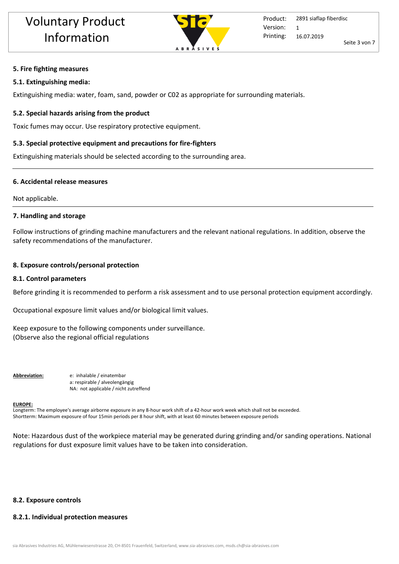

#### **5. Fire fighting measures**

#### **5.1. Extinguishing media:**

Extinguishing media: water, foam, sand, powder or C02 as appropriate for surrounding materials.

#### **5.2. Special hazards arising from the product**

Toxic fumes may occur. Use respiratory protective equipment.

#### **5.3. Special protective equipment and precautions for fire-fighters**

Extinguishing materials should be selected according to the surrounding area.

#### **6. Accidental release measures**

Not applicable.

#### **7. Handling and storage**

Follow instructions of grinding machine manufacturers and the relevant national regulations. In addition, observe the safety recommendations of the manufacturer.

#### **8. Exposure controls/personal protection**

#### **8.1. Control parameters**

Before grinding it is recommended to perform a risk assessment and to use personal protection equipment accordingly.

Occupational exposure limit values and/or biological limit values.

Keep exposure to the following components under surveillance. (Observe also the regional official regulations

**Abbreviation:** e: inhalable / einatembar a: respirable / alveolengängig NA: not applicable / nicht zutreffend

#### **EUROPE:**

Longterm: The employee's average airborne exposure in any 8-hour work shift of a 42-hour work week which shall not be exceeded. Shortterm: Maximum exposure of four 15min periods per 8 hour shift, with at least 60 minutes between exposure periods

Note: Hazardous dust of the workpiece material may be generated during grinding and/or sanding operations. National regulations for dust exposure limit values have to be taken into consideration.

#### **8.2. Exposure controls**

# **8.2.1. Individual protection measures**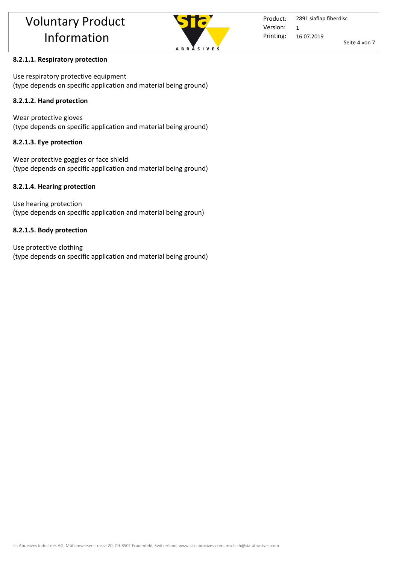

# **8.2.1.1. Respiratory protection**

Use respiratory protective equipment (type depends on specific application and material being ground)

# **8.2.1.2. Hand protection**

Wear protective gloves (type depends on specific application and material being ground)

# **8.2.1.3. Eye protection**

Wear protective goggles or face shield (type depends on specific application and material being ground)

# **8.2.1.4. Hearing protection**

Use hearing protection (type depends on specific application and material being groun)

# **8.2.1.5. Body protection**

Use protective clothing (type depends on specific application and material being ground)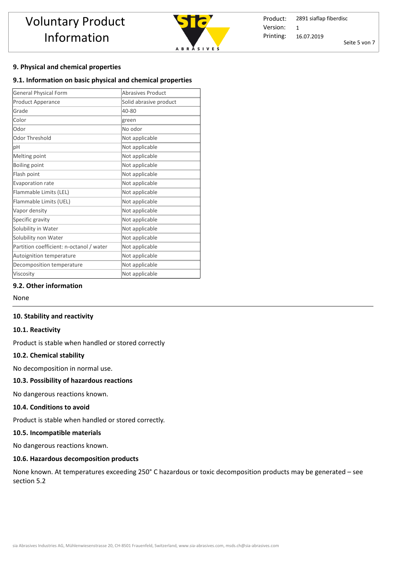

Product: Printing: 2891 siaflap fiberdisc 16.07.2019 Seite 5 von 7 Version: 1

# **9. Physical and chemical properties**

#### **9.1. Information on basic physical and chemical properties**

| <b>General Physical Form</b>             | <b>Abrasives Product</b> |  |  |  |
|------------------------------------------|--------------------------|--|--|--|
| Product Apperance                        | Solid abrasive product   |  |  |  |
| Grade                                    | 40-80                    |  |  |  |
| Color                                    | green                    |  |  |  |
| Odor                                     | No odor                  |  |  |  |
| Odor Threshold                           | Not applicable           |  |  |  |
| pH                                       | Not applicable           |  |  |  |
| Melting point                            | Not applicable           |  |  |  |
| <b>Boiling point</b>                     | Not applicable           |  |  |  |
| Flash point                              | Not applicable           |  |  |  |
| Evaporation rate                         | Not applicable           |  |  |  |
| Flammable Limits (LEL)                   | Not applicable           |  |  |  |
| Flammable Limits (UEL)                   | Not applicable           |  |  |  |
| Vapor density                            | Not applicable           |  |  |  |
| Specific gravity                         | Not applicable           |  |  |  |
| Solubility in Water                      | Not applicable           |  |  |  |
| Solubility non Water                     | Not applicable           |  |  |  |
| Partition coefficient: n-octanol / water | Not applicable           |  |  |  |
| Autoignition temperature                 | Not applicable           |  |  |  |
| Decomposition temperature                | Not applicable           |  |  |  |
| Viscosity                                | Not applicable           |  |  |  |

# **9.2. Other information**

None

#### **10. Stability and reactivity**

#### **10.1. Reactivity**

Product is stable when handled or stored correctly

## **10.2. Chemical stability**

No decomposition in normal use.

# **10.3. Possibility of hazardous reactions**

No dangerous reactions known.

#### **10.4. Conditions to avoid**

Product is stable when handled or stored correctly. 

#### **10.5. Incompatible materials**

No dangerous reactions known.

# **10.6. Hazardous decomposition products**

None known. At temperatures exceeding 250° C hazardous or toxic decomposition products may be generated – see section 5.2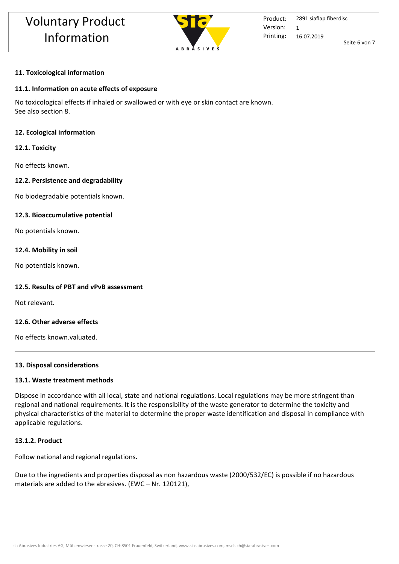

## **11. Toxicological information**

## **11.1. Information on acute effects of exposure**

No toxicological effects if inhaled or swallowed or with eye or skin contact are known. See also section 8.

#### **12. Ecological information**

#### **12.1. Toxicity**

No effects known.

#### **12.2. Persistence and degradability**

No biodegradable potentials known.

#### **12.3. Bioaccumulative potential**

No potentials known.

#### **12.4. Mobility in soil**

No potentials known.

#### **12.5. Results of PBT and vPvB assessment**

Not relevant.

#### **12.6. Other adverse effects**

No effects known.valuated.

#### **13. Disposal considerations**

#### **13.1. Waste treatment methods**

Dispose in accordance with all local, state and national regulations. Local regulations may be more stringent than regional and national requirements. It is the responsibility of the waste generator to determine the toxicity and physical characteristics of the material to determine the proper waste identification and disposal in compliance with applicable regulations.

#### **13.1.2. Product**

Follow national and regional regulations.

Due to the ingredients and properties disposal as non hazardous waste (2000/532/EC) is possible if no hazardous materials are added to the abrasives. (EWC – Nr. 120121),